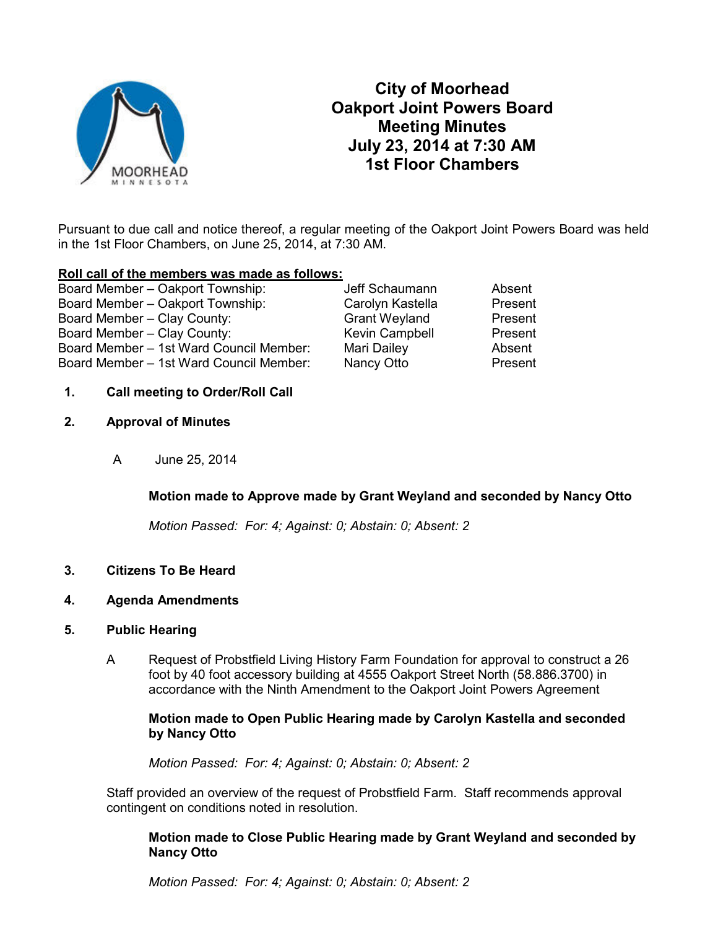

# **City of Moorhead Oakport Joint Powers Board Meeting Minutes July 23, 2014 at 7:30 AM 1st Floor Chambers**

Pursuant to due call and notice thereof, a regular meeting of the Oakport Joint Powers Board was held in the 1st Floor Chambers, on June 25, 2014, at 7:30 AM.

### **Roll call of the members was made as follows:**

| Board Member - Oakport Township:        | Jeff Schaumann        | Absent  |
|-----------------------------------------|-----------------------|---------|
| Board Member - Oakport Township:        | Carolyn Kastella      | Present |
| Board Member - Clay County:             | <b>Grant Weyland</b>  | Present |
| Board Member - Clay County:             | <b>Kevin Campbell</b> | Present |
| Board Member - 1st Ward Council Member: | Mari Dailey           | Absent  |
| Board Member - 1st Ward Council Member: | Nancy Otto            | Present |

### **1. Call meeting to Order/Roll Call**

### **2. Approval of Minutes**

A June 25, 2014

## **Motion made to Approve made by Grant Weyland and seconded by Nancy Otto**

*Motion Passed: For: 4; Against: 0; Abstain: 0; Absent: 2* 

### **3. Citizens To Be Heard**

### **4. Agenda Amendments**

### **5. Public Hearing**

A Request of Probstfield Living History Farm Foundation for approval to construct a 26 foot by 40 foot accessory building at 4555 Oakport Street North (58.886.3700) in accordance with the Ninth Amendment to the Oakport Joint Powers Agreement

#### **Motion made to Open Public Hearing made by Carolyn Kastella and seconded by Nancy Otto**

*Motion Passed: For: 4; Against: 0; Abstain: 0; Absent: 2* 

Staff provided an overview of the request of Probstfield Farm. Staff recommends approval contingent on conditions noted in resolution.

**Motion made to Close Public Hearing made by Grant Weyland and seconded by Nancy Otto** 

*Motion Passed: For: 4; Against: 0; Abstain: 0; Absent: 2*